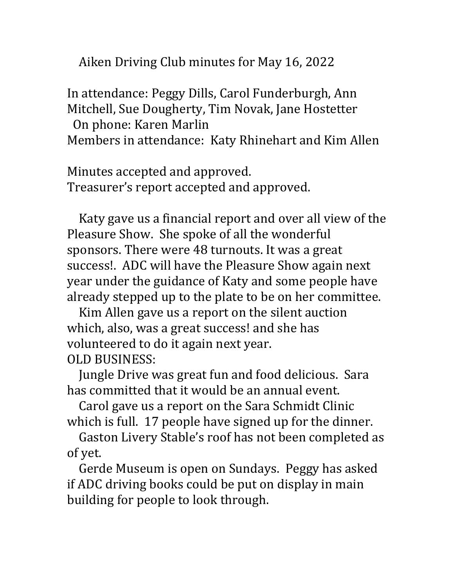Aiken Driving Club minutes for May 16, 2022

In attendance: Peggy Dills, Carol Funderburgh, Ann Mitchell, Sue Dougherty, Tim Novak, Jane Hostetter On phone: Karen Marlin

Members in attendance: Katy Rhinehart and Kim Allen

Minutes accepted and approved. Treasurer's report accepted and approved.

Katy gave us a financial report and over all view of the Pleasure Show. She spoke of all the wonderful sponsors. There were 48 turnouts. It was a great success!. ADC will have the Pleasure Show again next year under the guidance of Katy and some people have already stepped up to the plate to be on her committee.

Kim Allen gave us a report on the silent auction which, also, was a great success! and she has volunteered to do it again next year. OLD BUSINESS:

Jungle Drive was great fun and food delicious. Sara has committed that it would be an annual event.

Carol gave us a report on the Sara Schmidt Clinic which is full. 17 people have signed up for the dinner.

Gaston Livery Stable's roof has not been completed as of yet.

Gerde Museum is open on Sundays. Peggy has asked if ADC driving books could be put on display in main building for people to look through.